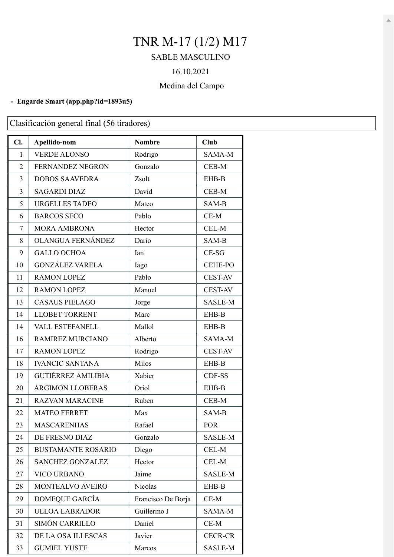# TNR M-17 (1/2) M17

## SABLE MASCULINO

### 16.10.2021

### Medina del Campo

#### **- Engarde Smart (app.php?id=1893u5)**

Clasificación general final (56 tiradores)

| Cl.            | Apellido-nom              | <b>Nombre</b>      | <b>Club</b>    |
|----------------|---------------------------|--------------------|----------------|
| 1              | <b>VERDE ALONSO</b>       | Rodrigo            | SAMA-M         |
| $\overline{2}$ | FERNANDEZ NEGRON          | Gonzalo            | CEB-M          |
| 3              | <b>DOBOS SAAVEDRA</b>     | Zsolt              | EHB-B          |
| 3              | <b>SAGARDI DIAZ</b>       | David              | $CEB-M$        |
| 5              | <b>URGELLES TADEO</b>     | Mateo              | SAM-B          |
| 6              | <b>BARCOS SECO</b>        | Pablo              | $CE-M$         |
| 7              | <b>MORA AMBRONA</b>       | Hector             | CEL-M          |
| 8              | OLANGUA FERNÁNDEZ         | Dario              | SAM-B          |
| 9              | <b>GALLO OCHOA</b>        | Ian                | $CE-SG$        |
| 10             | <b>GONZÁLEZ VARELA</b>    | Iago               | <b>CEHE-PO</b> |
| 11             | <b>RAMON LOPEZ</b>        | Pablo              | <b>CEST-AV</b> |
| 12             | <b>RAMON LOPEZ</b>        | Manuel             | <b>CEST-AV</b> |
| 13             | <b>CASAUS PIELAGO</b>     | Jorge              | <b>SASLE-M</b> |
| 14             | <b>LLOBET TORRENT</b>     | Marc               | EHB-B          |
| 14             | <b>VALL ESTEFANELL</b>    | Mallol             | EHB-B          |
| 16             | RAMIREZ MURCIANO          | Alberto            | SAMA-M         |
| 17             | <b>RAMON LOPEZ</b>        | Rodrigo            | <b>CEST-AV</b> |
| 18             | <b>IVANCIC SANTANA</b>    | Milos              | EHB-B          |
| 19             | <b>GUTIÉRREZ AMILIBIA</b> | Xabier             | CDF-SS         |
| 20             | <b>ARGIMON LLOBERAS</b>   | Oriol              | EHB-B          |
| 21             | <b>RAZVAN MARACINE</b>    | Ruben              | CEB-M          |
| 22             | <b>MATEO FERRET</b>       | Max                | SAM-B          |
| 23             | <b>MASCARENHAS</b>        | Rafael             | <b>POR</b>     |
| 24             | DE FRESNO DIAZ            | Gonzalo            | SASLE-M        |
| 25             | <b>BUSTAMANTE ROSARIO</b> | Diego              | CEL-M          |
| 26             | <b>SANCHEZ GONZALEZ</b>   | Hector             | CEL-M          |
| 27             | <b>VICO URBANO</b>        | Jaime              | SASLE-M        |
| 28             | MONTEALVO AVEIRO          | Nicolas            | EHB-B          |
| 29             | DOMEQUE GARCÍA            | Francisco De Borja | $CE-M$         |
| 30             | <b>ULLOA LABRADOR</b>     | Guillermo J        | SAMA-M         |
| 31             | SIMÓN CARRILLO            | Daniel             | $CE-M$         |
| 32             | DE LA OSA ILLESCAS        | Javier             | <b>CECR-CR</b> |
| 33             | <b>GUMIEL YUSTE</b>       | Marcos             | SASLE-M        |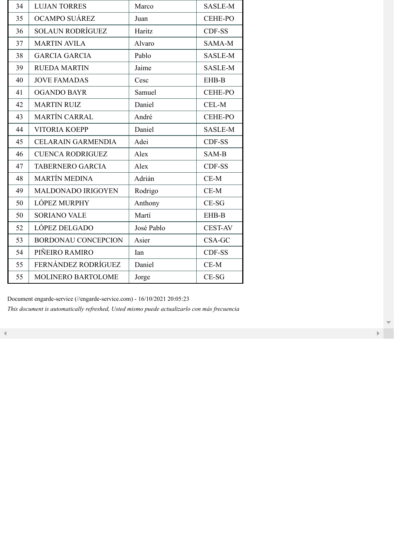| 34 | <b>LUJAN TORRES</b>        | Marco      | SASLE-M        |
|----|----------------------------|------------|----------------|
| 35 | OCAMPO SUÁREZ              | Juan       | <b>CEHE-PO</b> |
| 36 | <b>SOLAUN RODRÍGUEZ</b>    | Haritz     | CDF-SS         |
| 37 | <b>MARTIN AVILA</b>        | Alvaro     | SAMA-M         |
| 38 | <b>GARCIA GARCIA</b>       | Pablo      | SASLE-M        |
| 39 | <b>RUEDA MARTIN</b>        | Jaime      | <b>SASLE-M</b> |
| 40 | <b>JOVE FAMADAS</b>        | Cesc       | EHB-B          |
| 41 | <b>OGANDO BAYR</b>         | Samuel     | <b>CEHE-PO</b> |
| 42 | <b>MARTIN RUIZ</b>         | Daniel     | CEL-M          |
| 43 | <b>MARTÍN CARRAL</b>       | André      | <b>CEHE-PO</b> |
| 44 | <b>VITORIA KOEPP</b>       | Daniel     | SASLE-M        |
| 45 | <b>CELARAIN GARMENDIA</b>  | Adei       | CDF-SS         |
| 46 | <b>CUENCA RODRIGUEZ</b>    | Alex       | SAM-B          |
| 47 | <b>TABERNERO GARCIA</b>    | Alex       | CDF-SS         |
| 48 | <b>MARTÍN MEDINA</b>       | Adrián     | $CE-M$         |
| 49 | <b>MALDONADO IRIGOYEN</b>  | Rodrigo    | $CE-M$         |
| 50 | LÓPEZ MURPHY               | Anthony    | $CE-SG$        |
| 50 | <b>SORIANO VALE</b>        | Martí      | EHB-B          |
| 52 | LÓPEZ DELGADO              | José Pablo | <b>CEST-AV</b> |
| 53 | <b>BORDONAU CONCEPCION</b> | Asier      | CSA-GC         |
| 54 | PIÑEIRO RAMIRO             | Ian        | CDF-SS         |
| 55 | FERNÁNDEZ RODRÍGUEZ        | Daniel     | $CE-M$         |
| 55 | MOLINERO BARTOLOME         | Jorge      | CE-SG          |

Document engarde-service (//engarde-service.com) - 16/10/2021 20:05:23 *This document is automatically refreshed, Usted mismo puede actualizarlo con más frecuencia*

 $\mathbf{F}^{\text{max}}$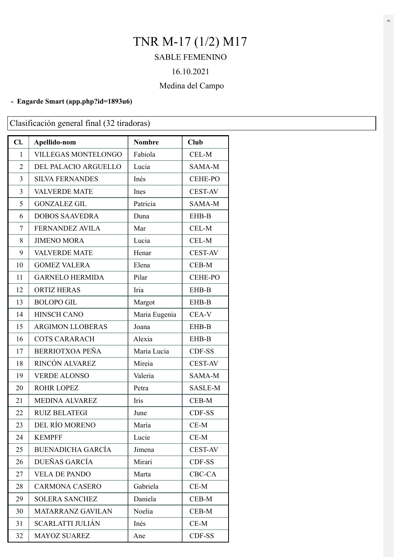# TNR M-17 (1/2) M17

## SABLE FEMENINO

### 16.10.2021

### Medina del Campo

#### **- Engarde Smart (app.php?id=1893u6)**

Clasificación general final (32 tiradoras)

| Cl.            | Apellido-nom               | <b>Nombre</b> | <b>Club</b>    |
|----------------|----------------------------|---------------|----------------|
| 1              | <b>VILLEGAS MONTELONGO</b> | Fabiola       | CEL-M          |
| $\overline{2}$ | DEL PALACIO ARGUELLO       | Lucia         | SAMA-M         |
| 3              | <b>SILVA FERNANDES</b>     | Inés          | <b>CEHE-PO</b> |
| 3              | <b>VALVERDE MATE</b>       | Ines          | <b>CEST-AV</b> |
| 5              | <b>GONZALEZ GIL</b>        | Patricia      | SAMA-M         |
| 6              | <b>DOBOS SAAVEDRA</b>      | Duna          | EHB-B          |
| $\overline{7}$ | <b>FERNANDEZ AVILA</b>     | Mar           | CEL-M          |
| 8              | <b>JIMENO MORA</b>         | Lucia         | CEL-M          |
| 9              | <b>VALVERDE MATE</b>       | Henar         | <b>CEST-AV</b> |
| 10             | <b>GOMEZ VALERA</b>        | Elena         | CEB-M          |
| 11             | <b>GARNELO HERMIDA</b>     | Pilar         | <b>CEHE-PO</b> |
| 12             | <b>ORTIZ HERAS</b>         | Iria          | EHB-B          |
| 13             | <b>BOLOPO GIL</b>          | Margot        | EHB-B          |
| 14             | <b>HINSCH CANO</b>         | Maria Eugenia | CEA-V          |
| 15             | <b>ARGIMON LLOBERAS</b>    | Joana         | EHB-B          |
| 16             | <b>COTS CARARACH</b>       | Alexia        | EHB-B          |
| 17             | <b>BERRIOTXOA PEÑA</b>     | Maria Lucia   | CDF-SS         |
| 18             | RINCÓN ALVAREZ             | Mireia        | <b>CEST-AV</b> |
| 19             | <b>VERDE ALONSO</b>        | Valeria       | SAMA-M         |
| 20             | <b>ROHR LOPEZ</b>          | Petra         | SASLE-M        |
| 21             | <b>MEDINA ALVAREZ</b>      | Iris          | CEB-M          |
| 22             | <b>RUIZ BELATEGI</b>       | June          | CDF-SS         |
| 23             | DEL RÍO MORENO             | María         | $CE-M$         |
| 24             | <b>KEMPFF</b>              | Lucie         | $CE-M$         |
| 25             | <b>BUENADICHA GARCÍA</b>   | Jimena        | <b>CEST-AV</b> |
| 26             | DUEÑAS GARCÍA              | Mirari        | CDF-SS         |
| 27             | <b>VELA DE PANDO</b>       | Marta         | CBC-CA         |
| 28             | <b>CARMONA CASERO</b>      | Gabriela      | $CE-M$         |
| 29             | <b>SOLERA SANCHEZ</b>      | Daniela       | CEB-M          |
| 30             | MATARRANZ GAVILAN          | Noelia        | CEB-M          |
| 31             | <b>SCARLATTI JULIÁN</b>    | Inés          | $CE-M$         |
| 32             | <b>MAYOZ SUAREZ</b>        | Ane           | CDF-SS         |